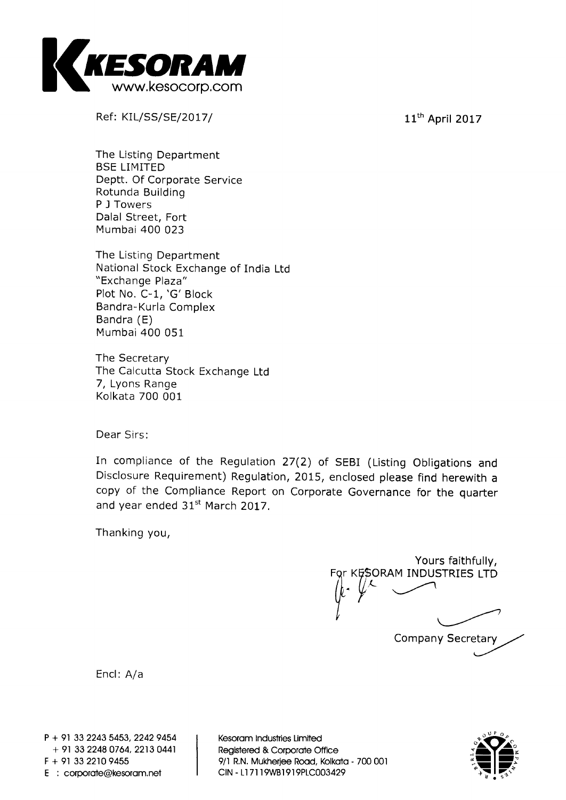

**Ref: KIL/SS/SE/2017/** 11<sup>th</sup> April 2017

**The Listing Department BSE LIMITED Deptt. Of Corporate Service Rotunda Building P J Towers Dalal Street, Fort Mumbai 400 023** 

**The Listing Department National Stock Exchange of India Ltd "Exchange Plaza" Plot No. C-1, 'G' Block Bandra-Kurla Complex Bandra (E) Mumbai 400 051** 

**The Secretary The Calcutta Stock Exchange Ltd 7, Lyons Range Kolkata 700 001** 

**Dear Sirs:** 

**In compliance of the Regulation 27(2) of SEBI (Listing Obligations and Disclosure Requirement) Regulation, 2015, enclosed please find herewith a copy of the Compliance Report on Corporate Governance for the quarter**  and year ended 31<sup>st</sup> March 2017.

**Thanking you,** 

**Yours faithfully, For KESORAM INDUSTRIES LTD Company Secretary** 

**Encl: A/a** 

**P + 91 33 2243 5453, 2242 9454 + 91 33 2248 0764, 2213 0441 F + 91 33 2210 9455 E corporategkesoram.net** 

**Kesoram Industries Limited Registered & Corporate Office 9/1 R.N. Mukherjee Road, Kolkata - 700 001 CIN - L17119WB1919PLC003429** 

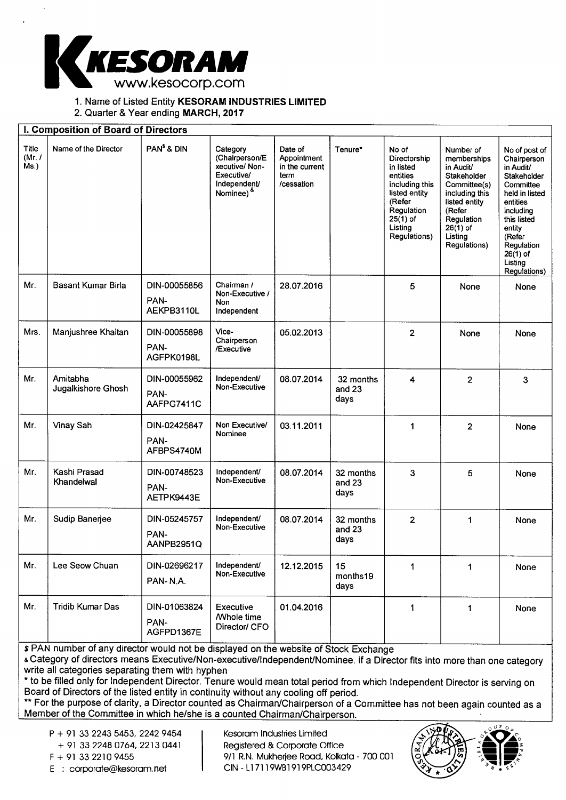

1. Name of Listed Entity **KESORAM INDUSTRIES LIMITED** 

2. Quarter & Year ending **MARCH, 2017** 

|                          | I. Composition of Board of Directors |                                    |                                                                                                        |                                                                |                             |                                                                                                                                                    |                                                                                                                                                                          |                                                                                                                                                                                                            |
|--------------------------|--------------------------------------|------------------------------------|--------------------------------------------------------------------------------------------------------|----------------------------------------------------------------|-----------------------------|----------------------------------------------------------------------------------------------------------------------------------------------------|--------------------------------------------------------------------------------------------------------------------------------------------------------------------------|------------------------------------------------------------------------------------------------------------------------------------------------------------------------------------------------------------|
| Title<br>(Mr. 1)<br>Ms.) | Name of the Director                 | PAN <sup>\$</sup> & DIN            | Category<br>(Chairperson/E<br>xecutive/Non-<br>Executive/<br>Independent/<br>Nominee) <sup>&amp;</sup> | Date of<br>Appointment<br>in the current<br>term<br>/cessation | Tenure*                     | No of<br>Directorship<br>in listed<br>entities<br>including this<br>listed entity<br>(Refer<br>Regulation<br>$25(1)$ of<br>Listing<br>Regulations) | Number of<br>memberships<br>in Audit/<br>Stakeholder<br>Committee(s)<br>including this<br>listed entity<br>(Refer<br>Regulation<br>$26(1)$ of<br>Listing<br>Regulations) | No of post of<br>Chairperson<br>in Audit/<br>Stakeholder<br>Committee<br>held in listed<br>entities<br>including<br>this listed<br>entity<br>(Refer<br>Regulation<br>$26(1)$ of<br>Listing<br>Regulations) |
| Mr.                      | <b>Basant Kumar Birla</b>            | DIN-00055856<br>PAN-<br>AEKPB3110L | Chairman /<br>Non-Executive /<br>Non<br>Independent                                                    | 28.07.2016                                                     |                             | 5                                                                                                                                                  | None                                                                                                                                                                     | None                                                                                                                                                                                                       |
| Mrs.                     | Manjushree Khaitan                   | DIN-00055898<br>PAN-<br>AGFPK0198L | Vice-<br>Chairperson<br>/Executive                                                                     | 05.02.2013                                                     |                             | $\overline{2}$                                                                                                                                     | None                                                                                                                                                                     | None                                                                                                                                                                                                       |
| Mr.                      | Amitabha<br>Jugalkishore Ghosh       | DIN-00055962<br>PAN-<br>AAFPG7411C | Independent/<br>Non-Executive                                                                          | 08.07.2014                                                     | 32 months<br>and 23<br>days | 4                                                                                                                                                  | $\overline{2}$                                                                                                                                                           | 3                                                                                                                                                                                                          |
| Mr.                      | Vinay Sah                            | DIN-02425847<br>PAN-<br>AFBPS4740M | Non Executive/<br>Nominee                                                                              | 03.11.2011                                                     |                             | 1                                                                                                                                                  | $\overline{2}$                                                                                                                                                           | None                                                                                                                                                                                                       |
| Mr.                      | Kashi Prasad<br>Khandelwal           | DIN-00748523<br>PAN-<br>AETPK9443E | Independent/<br>Non-Executive                                                                          | 08.07.2014                                                     | 32 months<br>and 23<br>days | 3                                                                                                                                                  | 5                                                                                                                                                                        | None                                                                                                                                                                                                       |
| Mr.                      | Sudip Banerjee                       | DIN-05245757<br>PAN-<br>AANPB2951Q | Independent/<br>Non-Executive                                                                          | 08.07.2014                                                     | 32 months<br>and 23<br>days | $\overline{2}$                                                                                                                                     | 1                                                                                                                                                                        | None                                                                                                                                                                                                       |
| Mr.                      | Lee Seow Chuan                       | DIN-02696217<br>PAN-N.A.           | Independent/<br>Non-Executive                                                                          | 12.12.2015                                                     | 15<br>months19<br>days      | 1                                                                                                                                                  | 1                                                                                                                                                                        | None                                                                                                                                                                                                       |
| Mr.                      | <b>Tridib Kumar Das</b>              | DIN-01063824<br>PAN-<br>AGFPD1367E | Executive<br><b>Mhole time</b><br>Director/ CFO                                                        | 01.04.2016                                                     |                             | 1                                                                                                                                                  | 1                                                                                                                                                                        | None                                                                                                                                                                                                       |

\$ PAN number of any director would not be displayed on the website of Stock Exchange

& Category of directors means Executive/Non-executive/Independent/Nominee. if a Director fits into more than one category write all categories separating them with hyphen

\* to be filled only for Independent Director. Tenure would mean total period from which Independent Director is serving on Board of Directors of the listed entity in continuity without any cooling off period.

\*\* For the purpose of clarity, a Director counted as Chairman/Chairperson of a Committee has not been again counted as a Member of the Committee in which he/she is a counted Chairman/Chairperson.

P + 91 33 2243 5453, 2242 9454

+ 91 33 2248 0764, 2213 0441

E : corporate@kesoram.net

Kesoram Industries Limited Registered & Corporate Office  $F + 91$  33 2210 9455 9/1 R.N. Mukherjee Road, Kolkata - 700 001

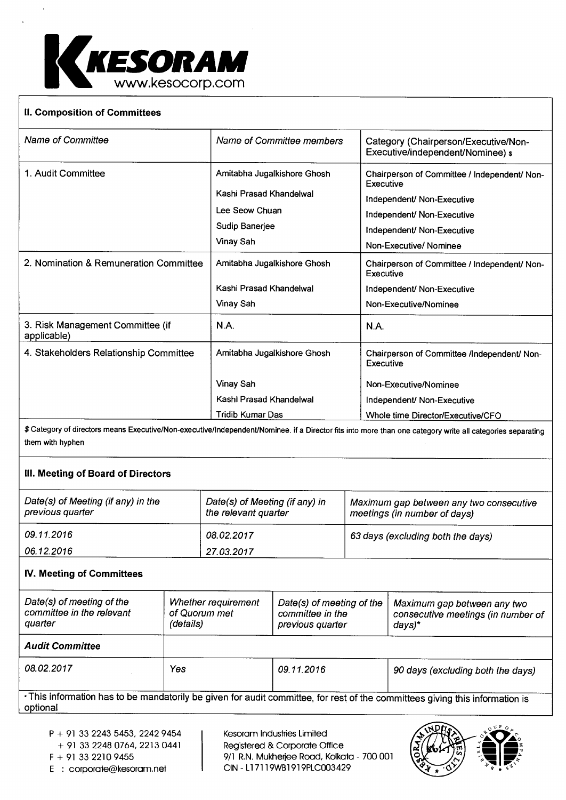

## **II. Composition of Committees**

| <b>Name of Committee</b>                        | Name of Committee members                                                                               | Category (Chairperson/Executive/Non-<br>Executive/independent/Nominee) \$                                                                                                    |
|-------------------------------------------------|---------------------------------------------------------------------------------------------------------|------------------------------------------------------------------------------------------------------------------------------------------------------------------------------|
| 1. Audit Committee                              | Amitabha Jugalkishore Ghosh<br>Kashi Prasad Khandelwal<br>Lee Seow Chuan<br>Sudip Banerjee<br>Vinay Sah | Chairperson of Committee / Independent/ Non-<br>Executive<br>Independent/ Non-Executive<br>Independent/ Non-Executive<br>Independent/ Non-Executive<br>Non-Executive/Nominee |
| 2. Nomination & Remuneration Committee          | Amitabha Jugalkishore Ghosh<br>Kashi Prasad Khandelwal<br>Vinay Sah                                     | Chairperson of Committee / Independent/ Non-<br>Executive<br>Independent/ Non-Executive<br>Non-Executive/Nominee                                                             |
| 3. Risk Management Committee (if<br>applicable) | <b>N.A.</b>                                                                                             | <b>N.A.</b>                                                                                                                                                                  |
| 4. Stakeholders Relationship Committee          | Amitabha Jugalkishore Ghosh                                                                             | Chairperson of Committee /Independent/ Non-<br>Executive                                                                                                                     |
|                                                 | Vinay Sah                                                                                               | Non-Executive/Nominee                                                                                                                                                        |
|                                                 | Kashi Prasad Khandelwal                                                                                 | Independent/ Non-Executive                                                                                                                                                   |
|                                                 | <b>Tridib Kumar Das</b>                                                                                 | Whole time Director/Executive/CFO                                                                                                                                            |

\$ Category of directors means Executive/Non-executive/Independent/Nominee. if a Director fits into more than one category write all categories separating them with hyphen

# **III. Meeting of Board of Directors**

| Date(s) of Meeting (if any) in the<br>previous quarter | Date(s) of Meeting (if any) in<br>the relevant quarter | Maximum gap between any two consecutive<br>meetings (in number of days) |
|--------------------------------------------------------|--------------------------------------------------------|-------------------------------------------------------------------------|
| 09.11.2016                                             | 08.02.2017                                             | 63 days (excluding both the days)                                       |
| 06.12.2016                                             | 27.03.2017                                             |                                                                         |

## **IV. Meeting of Committees**

| Date(s) of meeting of the<br>committee in the relevant<br>quarter                                                                 | Whether requirement<br>of Quorum met<br>(details) | Date(s) of meeting of the<br>committee in the<br>previous quarter | Maximum gap between any two<br>consecutive meetings (in number of<br>days)* |
|-----------------------------------------------------------------------------------------------------------------------------------|---------------------------------------------------|-------------------------------------------------------------------|-----------------------------------------------------------------------------|
| <b>Audit Committee</b>                                                                                                            |                                                   |                                                                   |                                                                             |
| 08.02.2017                                                                                                                        | Yes                                               | 09.11.2016                                                        | 90 days (excluding both the days)                                           |
| $\epsilon$ . This information has to be mandatorily be signal for quality considius for seat of the second the seat of $\epsilon$ |                                                   |                                                                   |                                                                             |

•This information has to be mandatorily be given for audit committee, for rest of the committees giving this information is optional

- P + 91 33 2243 5453, 2242 9454
- + 91 33 2248 0764, 2213 0441
- 
- E : corporate@kesoram.net

Kesoram Industries Limited Registered & Corporate Office  $F + 91 33 2210 9455$ <br>  $F : \text{convorte@kesorarm.net}$   $CIN - L17119WB1919PLC003429$ 

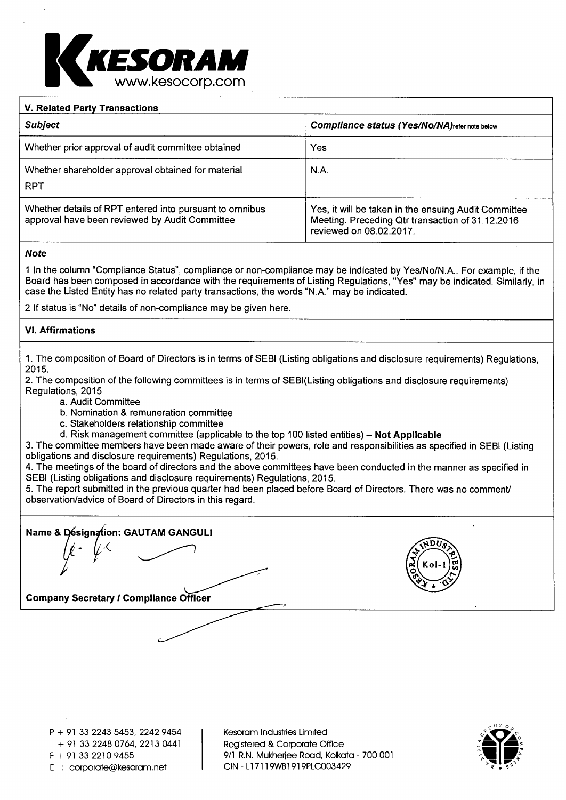

| <b>V. Related Party Transactions</b>                                                                                 |                                                                                                                                     |
|----------------------------------------------------------------------------------------------------------------------|-------------------------------------------------------------------------------------------------------------------------------------|
| <b>Subject</b>                                                                                                       | Compliance status (Yes/No/NA) refer note below                                                                                      |
| Whether prior approval of audit committee obtained                                                                   | Yes                                                                                                                                 |
| Whether shareholder approval obtained for material<br><b>RPT</b>                                                     | N.A.                                                                                                                                |
| Whether details of RPT entered into pursuant to omnibus<br>approval have been reviewed by Audit Committee            | Yes, it will be taken in the ensuing Audit Committee<br>Meeting. Preceding Qtr transaction of 31.12.2016<br>reviewed on 08.02.2017. |
| <b>Note</b>                                                                                                          |                                                                                                                                     |
| 1 In the column "Compliance Status", compliance or non-compliance may be indicated by Yes/No/N A. For example if the |                                                                                                                                     |

**<sup>1</sup>**In the column "Compliance Status", compliance or non-compliance may be indicated by Yes/No/N.A.. For example, if the Board has been composed in accordance with the requirements of Listing Regulations, "Yes" may be indicated. Similarly, in case the Listed Entity has no related party transactions, the words "N.A." may be indicated.

2 If status is "No" details of non-compliance may be given here.

# **VI. Affirmations**

1. The composition of Board of Directors is in terms of SEBI (Listing obligations and disclosure requirements) Regulations, 2015.

2. The composition of the following committees is in terms of SEBI(Listing obligations and disclosure requirements) Regulations, 2015

- a. Audit Committee
- b. Nomination & remuneration committee
- c. Stakeholders relationship committee
- d. Risk management committee (applicable to the top 100 listed entities) **Not Applicable**

3. The committee members have been made aware of their powers, role and responsibilities as specified in SEBI (Listing obligations and disclosure requirements) Regulations, 2015.

4. The meetings of the board of directors and the above committees have been conducted in the manner as specified in SEBI (Listing obligations and disclosure requirements) Regulations, 2015.

5. The report submitted in the previous quarter had been placed before Board of Directors. There was no comment/ observation/advice of Board of Directors in this regard.

..................■.----7

**Name & Designation: GAUTAM GANGULI** 

**‹..** 

**m 0** 

**Company Secretary / Compliance Officer** 

Kesoram Industries Limited Registered & Corporate Office 9/1 R.N. Mukherjee Road, Kolkata - 700 001 CIN - L17119WB1919PLC003429

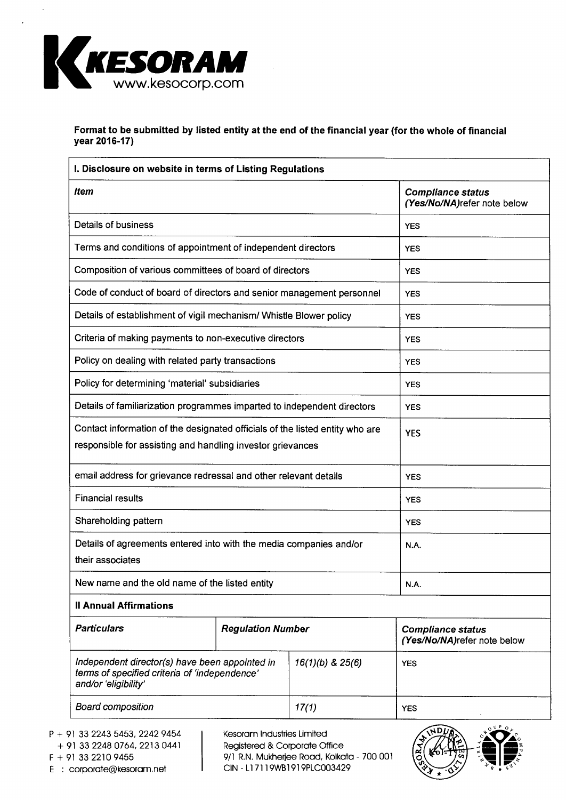

## **Format to be submitted by listed entity at the end of the financial year (for the whole of financial year 2016-17)**

| I. Disclosure on website in terms of Listing Regulations                                                                                   |                          |                      |                                                         |  |
|--------------------------------------------------------------------------------------------------------------------------------------------|--------------------------|----------------------|---------------------------------------------------------|--|
| ltem                                                                                                                                       |                          |                      | <b>Compliance status</b><br>(Yes/No/NA)refer note below |  |
| Details of business                                                                                                                        |                          |                      | <b>YES</b>                                              |  |
| Terms and conditions of appointment of independent directors                                                                               |                          |                      | <b>YES</b>                                              |  |
| Composition of various committees of board of directors                                                                                    |                          |                      | <b>YES</b>                                              |  |
| Code of conduct of board of directors and senior management personnel                                                                      |                          |                      | <b>YES</b>                                              |  |
| Details of establishment of vigil mechanism/ Whistle Blower policy                                                                         |                          |                      | <b>YES</b>                                              |  |
| Criteria of making payments to non-executive directors                                                                                     |                          |                      | <b>YES</b>                                              |  |
| Policy on dealing with related party transactions                                                                                          |                          |                      | <b>YES</b>                                              |  |
| Policy for determining 'material' subsidiaries                                                                                             | <b>YES</b>               |                      |                                                         |  |
| Details of familiarization programmes imparted to independent directors                                                                    |                          |                      | <b>YES</b>                                              |  |
| Contact information of the designated officials of the listed entity who are<br>responsible for assisting and handling investor grievances |                          |                      | <b>YES</b>                                              |  |
| email address for grievance redressal and other relevant details                                                                           |                          |                      | <b>YES</b>                                              |  |
| <b>Financial results</b>                                                                                                                   |                          |                      | <b>YES</b>                                              |  |
| Shareholding pattern                                                                                                                       |                          |                      | <b>YES</b>                                              |  |
| Details of agreements entered into with the media companies and/or<br>their associates                                                     | N.A.                     |                      |                                                         |  |
| New name and the old name of the listed entity                                                                                             | N.A.                     |                      |                                                         |  |
| <b>Il Annual Affirmations</b>                                                                                                              |                          |                      |                                                         |  |
| <b>Particulars</b>                                                                                                                         | <b>Regulation Number</b> |                      | <b>Compliance status</b><br>(Yes/No/NA)refer note below |  |
| Independent director(s) have been appointed in<br>terms of specified criteria of 'independence'<br>and/or 'eligibility'                    |                          | $16(1)(b)$ & $25(6)$ | <b>YES</b>                                              |  |
| <b>Board composition</b><br>17(1)                                                                                                          |                          |                      | <b>YES</b>                                              |  |

P + 91 33 2243 5453, 2242 9454 + 91 33 2248 0764, 2213 0441

Kesoram Industries Limited Registered & Corporate Office  $F + 91 33 2210 9455$ <br>  $F + 91 33 2210 9455$ <br>  $C \times 200 001$ <br>  $F \times 200 001$ <br>  $C \times 200 3429$ <br>  $C \times 200 3429$ 



E : corporate@kesoram.net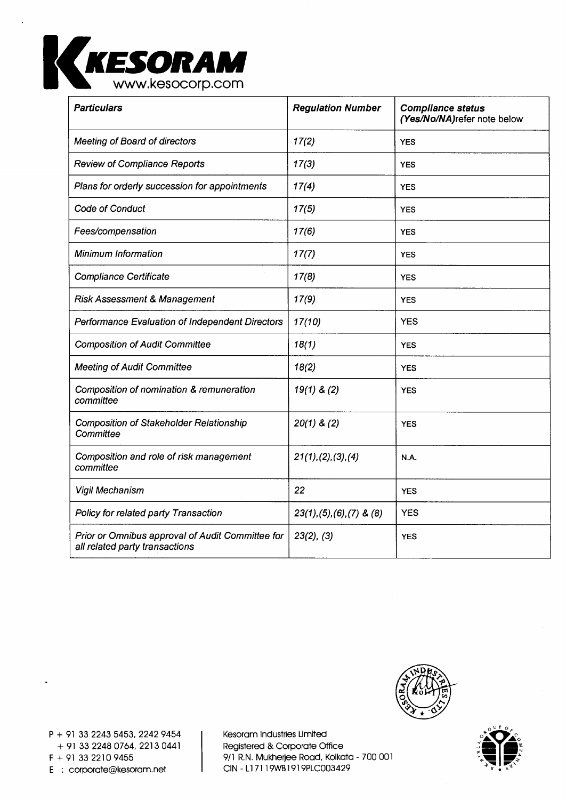

| <b>Particulars</b>                                                                 | <b>Regulation Number</b>       | <b>Compliance status</b><br>(Yes/No/NA)refer note below |
|------------------------------------------------------------------------------------|--------------------------------|---------------------------------------------------------|
| <b>Meeting of Board of directors</b>                                               | 17(2)                          | <b>YES</b>                                              |
| <b>Review of Compliance Reports</b>                                                | 17(3)                          | <b>YES</b>                                              |
| Plans for orderly succession for appointments                                      | 17(4)                          | <b>YES</b>                                              |
| <b>Code of Conduct</b>                                                             | 17(5)                          | <b>YES</b>                                              |
| Fees/compensation                                                                  | 17(6)                          | <b>YES</b>                                              |
| <b>Minimum Information</b>                                                         | 17(7)                          | <b>YES</b>                                              |
| <b>Compliance Certificate</b>                                                      | 17(8)                          | <b>YES</b>                                              |
| <b>Risk Assessment &amp; Management</b>                                            | 17(9)                          | <b>YES</b>                                              |
| Performance Evaluation of Independent Directors                                    | 17(10)                         | <b>YES</b>                                              |
| <b>Composition of Audit Committee</b>                                              | 18(1)                          | <b>YES</b>                                              |
| <b>Meeting of Audit Committee</b>                                                  | 18(2)                          | <b>YES</b>                                              |
| Composition of nomination & remuneration<br>committee                              | $19(1)$ & (2)                  | <b>YES</b>                                              |
| <b>Composition of Stakeholder Relationship</b><br>Committee                        | $20(1)$ & $(2)$                | <b>YES</b>                                              |
| Composition and role of risk management<br>committee                               | 21(1), (2), (3), (4)           | N.A.                                                    |
| Vigil Mechanism                                                                    | 22                             | <b>YES</b>                                              |
| Policy for related party Transaction                                               | $23(1), (5), (6), (7)$ & $(8)$ | <b>YES</b>                                              |
| Prior or Omnibus approval of Audit Committee for<br>all related party transactions | $23(2)$ , $(3)$                | <b>YES</b>                                              |



P + 91 33 2243 5453, 2242 9454 + 91 33 2248 0764, 2213 0441

E : corporate@kesoram.net

Kesoram Industries Limited Registered & Corporate Office  $F + 91 33 2210 9455$ <br>  $F : \text{corrocrate@kesorarm.net}$  9/1 R.N. Mukherjee Road, Kolkata - 700 001<br>
CIN - L17119WB1919PLC003429